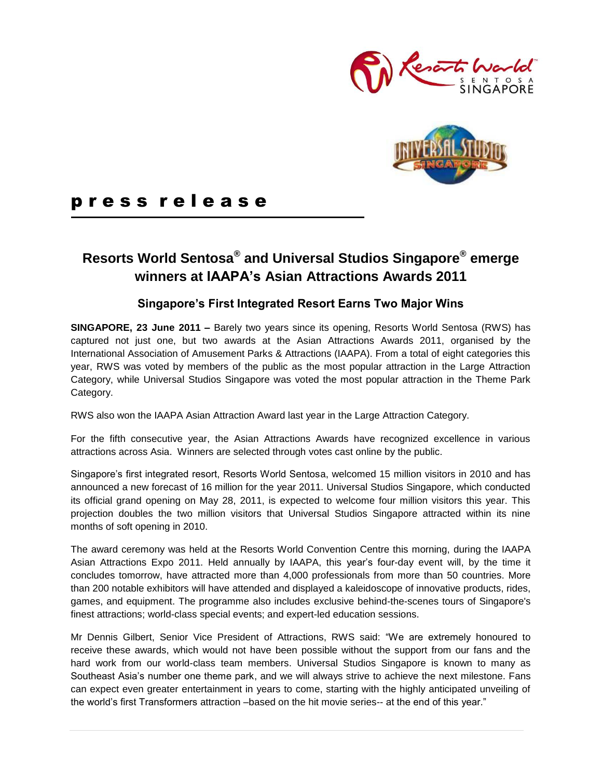



# p r e s s r e l e a s e

# **Resorts World Sentosa® and Universal Studios Singapore® emerge winners at IAAPA's Asian Attractions Awards 2011**

### **Singapore's First Integrated Resort Earns Two Major Wins**

**SINGAPORE, 23 June 2011 –** Barely two years since its opening, Resorts World Sentosa (RWS) has captured not just one, but two awards at the Asian Attractions Awards 2011, organised by the International Association of Amusement Parks & Attractions (IAAPA). From a total of eight categories this year, RWS was voted by members of the public as the most popular attraction in the Large Attraction Category, while Universal Studios Singapore was voted the most popular attraction in the Theme Park Category.

RWS also won the IAAPA Asian Attraction Award last year in the Large Attraction Category.

For the fifth consecutive year, the Asian Attractions Awards have recognized excellence in various attractions across Asia. Winners are selected through votes cast online by the public.

Singapore's first integrated resort, Resorts World Sentosa, welcomed 15 million visitors in 2010 and has announced a new forecast of 16 million for the year 2011. Universal Studios Singapore, which conducted its official grand opening on May 28, 2011, is expected to welcome four million visitors this year. This projection doubles the two million visitors that Universal Studios Singapore attracted within its nine months of soft opening in 2010.

The award ceremony was held at the Resorts World Convention Centre this morning, during the IAAPA Asian Attractions Expo 2011. Held annually by IAAPA, this year's four-day event will, by the time it concludes tomorrow, have attracted more than 4,000 professionals from more than 50 countries. More than 200 notable exhibitors will have attended and displayed a kaleidoscope of innovative products, rides, games, and equipment. The programme also includes exclusive behind-the-scenes tours of Singapore's finest attractions; world-class special events; and expert-led education sessions.

Mr Dennis Gilbert, Senior Vice President of Attractions, RWS said: "We are extremely honoured to receive these awards, which would not have been possible without the support from our fans and the hard work from our world-class team members. Universal Studios Singapore is known to many as Southeast Asia's number one theme park, and we will always strive to achieve the next milestone. Fans can expect even greater entertainment in years to come, starting with the highly anticipated unveiling of the world's first Transformers attraction –based on the hit movie series-- at the end of this year."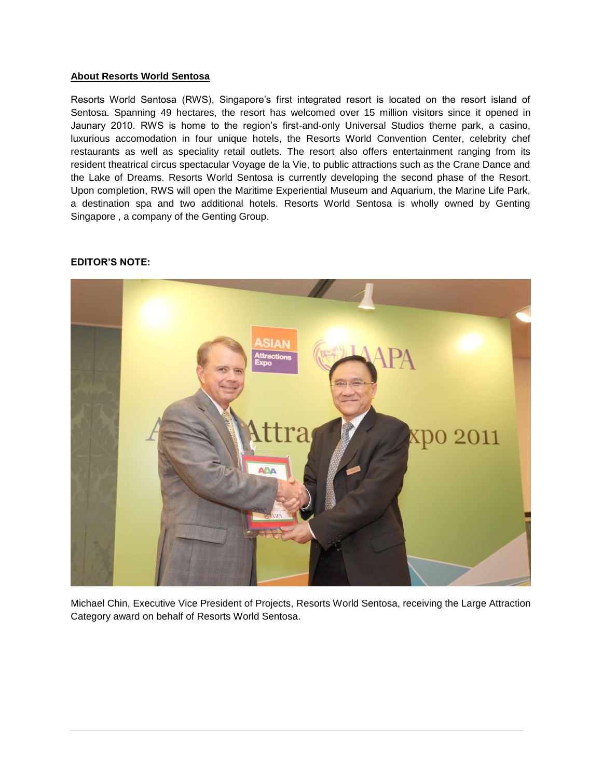#### **About Resorts World Sentosa**

Resorts World Sentosa (RWS), Singapore's first integrated resort is located on the resort island of Sentosa. Spanning 49 hectares, the resort has welcomed over 15 million visitors since it opened in Jaunary 2010. RWS is home to the region's first-and-only Universal Studios theme park, a casino, luxurious accomodation in four unique hotels, the Resorts World Convention Center, celebrity chef restaurants as well as speciality retail outlets. The resort also offers entertainment ranging from its resident theatrical circus spectacular Voyage de la Vie, to public attractions such as the Crane Dance and the Lake of Dreams. Resorts World Sentosa is currently developing the second phase of the Resort. Upon completion, RWS will open the Maritime Experiential Museum and Aquarium, the Marine Life Park, a destination spa and two additional hotels. Resorts World Sentosa is wholly owned by Genting Singapore , a company of the Genting Group.



#### **EDITOR'S NOTE:**

Michael Chin, Executive Vice President of Projects, Resorts World Sentosa, receiving the Large Attraction Category award on behalf of Resorts World Sentosa.